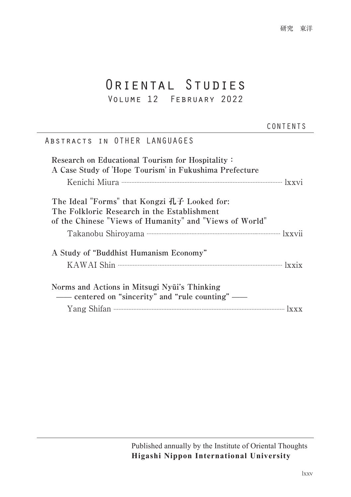# ORIENTAL STUDIES

### Volume 12 February 2022

#### CONTENTS

研究 東洋

### Abstracts in OTHER LANGUAGES

| Research on Educational Tourism for Hospitality:<br>A Case Study of 'Hope Tourism' in Fukushima Prefecture                                             |
|--------------------------------------------------------------------------------------------------------------------------------------------------------|
|                                                                                                                                                        |
| The Ideal "Forms" that Kongzi 孔子 Looked for:<br>The Folkloric Research in the Establishment<br>of the Chinese "Views of Humanity" and "Views of World" |
|                                                                                                                                                        |
| A Study of "Buddhist Humanism Economy"                                                                                                                 |
|                                                                                                                                                        |
| Norms and Actions in Mitsugi Nyūi's Thinking<br>— centered on "sincerity" and "rule counting" —                                                        |
| Yang Shifan $\cdots$                                                                                                                                   |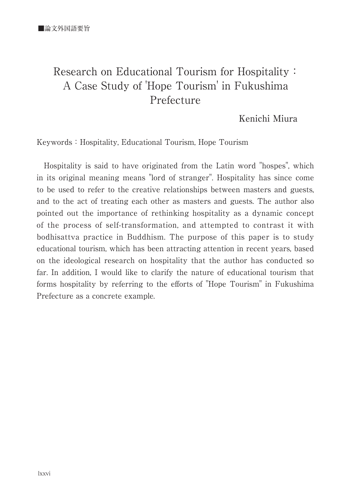## Research on Educational Tourism for Hospitality: A Case Study of 'Hope Tourism' in Fukushima Prefecture

Kenichi Miura

Keywords: Hospitality, Educational Tourism, Hope Tourism

Hospitality is said to have originated from the Latin word "hospes", which in its original meaning means "lord of stranger". Hospitality has since come to be used to refer to the creative relationships between masters and guests, and to the act of treating each other as masters and guests. The author also pointed out the importance of rethinking hospitality as a dynamic concept of the process of self-transformation, and attempted to contrast it with bodhisattva practice in Buddhism. The purpose of this paper is to study educational tourism, which has been attracting attention in recent years, based on the ideological research on hospitality that the author has conducted so far. In addition, I would like to clarify the nature of educational tourism that forms hospitality by referring to the efforts of "Hope Tourism" in Fukushima Prefecture as a concrete example.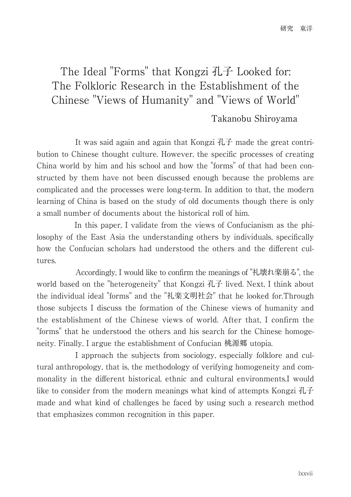## The Ideal "Forms" that Kongzi 孔子 Looked for: The Folkloric Research in the Establishment of the Chinese "Views of Humanity" and "Views of World"

#### Takanobu Shiroyama

 It was said again and again that Kongzi 孔子 made the great contribution to Chinese thought culture. However, the specific processes of creating China world by him and his school and how the "forms" of that had been constructed by them have not been discussed enough because the problems are complicated and the processes were long-term. In addition to that, the modern learning of China is based on the study of old documents though there is only a small number of documents about the historical roll of him.

 In this paper, I validate from the views of Confucianism as the philosophy of the East Asia the understanding others by individuals, specifically how the Confucian scholars had understood the others and the different cultures.

 Accordingly, I would like to confirm the meanings of "礼壊れ楽崩る", the world based on the "heterogeneity" that Kongzi 孔子 lived. Next, I think about the individual ideal "forms" and the "礼楽文明社会" that he looked for.Through those subjects I discuss the formation of the Chinese views of humanity and the establishment of the Chinese views of world. After that, I confirm the "forms" that he understood the others and his search for the Chinese homogeneity. Finally, I argue the establishment of Confucian 桃源郷 utopia.

 I approach the subjects from sociology, especially folklore and cultural anthropology, that is, the methodology of verifying homogeneity and commonality in the different historical, ethnic and cultural environments.I would like to consider from the modern meanings what kind of attempts Kongzi 孔子 made and what kind of challenges he faced by using such a research method that emphasizes common recognition in this paper.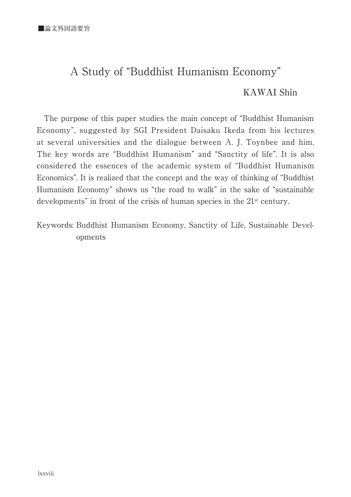## A Study of "Buddhist Humanism Economy"

#### KAWAI Shin

The purpose of this paper studies the main concept of "Buddhist Humanism Economy", suggested by SGI President Daisaku Ikeda from his lectures at several universities and the dialogue between A. J. Toynbee and him. The key words are "Buddhist Humanism" and "Sanctity of life". It is also considered the essences of the academic system of "Buddhist Humanism Economics". It is realized that the concept and the way of thinking of "Buddhist Humanism Economy" shows us "the road to walk" in the sake of "sustainable developments" in front of the crisis of human species in the 21st century.

Keywords: Buddhist Humanism Economy, Sanctity of Life, Sustainable Developments